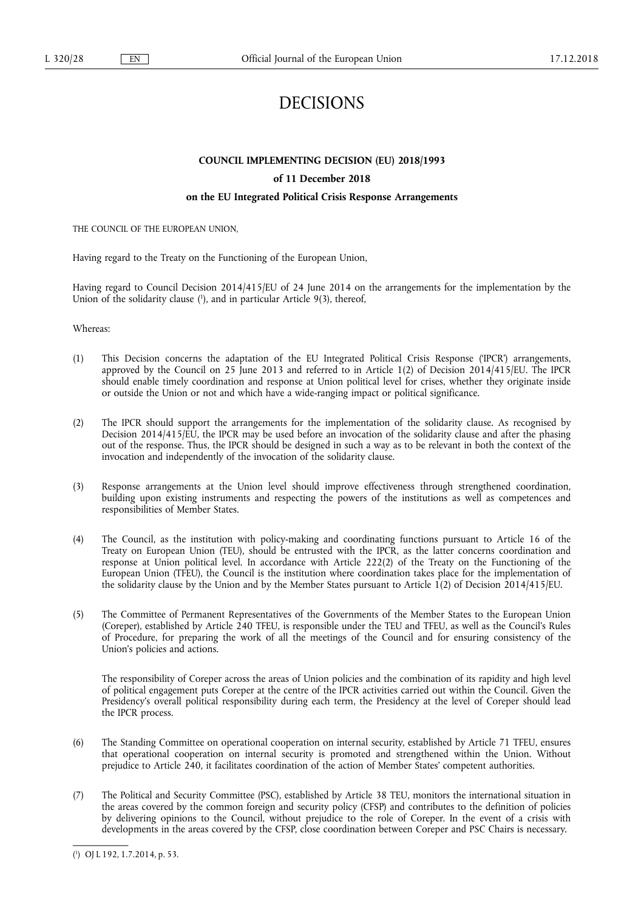# DECISIONS

## **COUNCIL IMPLEMENTING DECISION (EU) 2018/1993**

## **of 11 December 2018**

## **on the EU Integrated Political Crisis Response Arrangements**

THE COUNCIL OF THE EUROPEAN UNION,

Having regard to the Treaty on the Functioning of the European Union,

Having regard to Council Decision 2014/415/EU of 24 June 2014 on the arrangements for the implementation by the Union of the solidarity clause (<sup>1</sup>), and in particular Article 9(3), thereof,

Whereas:

- (1) This Decision concerns the adaptation of the EU Integrated Political Crisis Response ('IPCR') arrangements, approved by the Council on 25 June 2013 and referred to in Article 1(2) of Decision 2014/415/EU. The IPCR should enable timely coordination and response at Union political level for crises, whether they originate inside or outside the Union or not and which have a wide-ranging impact or political significance.
- (2) The IPCR should support the arrangements for the implementation of the solidarity clause. As recognised by Decision 2014/415/EU, the IPCR may be used before an invocation of the solidarity clause and after the phasing out of the response. Thus, the IPCR should be designed in such a way as to be relevant in both the context of the invocation and independently of the invocation of the solidarity clause.
- (3) Response arrangements at the Union level should improve effectiveness through strengthened coordination, building upon existing instruments and respecting the powers of the institutions as well as competences and responsibilities of Member States.
- (4) The Council, as the institution with policy-making and coordinating functions pursuant to Article 16 of the Treaty on European Union (TEU), should be entrusted with the IPCR, as the latter concerns coordination and response at Union political level. In accordance with Article 222(2) of the Treaty on the Functioning of the European Union (TFEU), the Council is the institution where coordination takes place for the implementation of the solidarity clause by the Union and by the Member States pursuant to Article 1(2) of Decision 2014/415/EU.
- (5) The Committee of Permanent Representatives of the Governments of the Member States to the European Union (Coreper), established by Article 240 TFEU, is responsible under the TEU and TFEU, as well as the Council's Rules of Procedure, for preparing the work of all the meetings of the Council and for ensuring consistency of the Union's policies and actions.

The responsibility of Coreper across the areas of Union policies and the combination of its rapidity and high level of political engagement puts Coreper at the centre of the IPCR activities carried out within the Council. Given the Presidency's overall political responsibility during each term, the Presidency at the level of Coreper should lead the IPCR process.

- (6) The Standing Committee on operational cooperation on internal security, established by Article 71 TFEU, ensures that operational cooperation on internal security is promoted and strengthened within the Union. Without prejudice to Article 240, it facilitates coordination of the action of Member States' competent authorities.
- (7) The Political and Security Committee (PSC), established by Article 38 TEU, monitors the international situation in the areas covered by the common foreign and security policy (CFSP) and contributes to the definition of policies by delivering opinions to the Council, without prejudice to the role of Coreper. In the event of a crisis with developments in the areas covered by the CFSP, close coordination between Coreper and PSC Chairs is necessary.

<sup>(</sup> 1 ) OJ L 192, 1.7.2014, p. 53.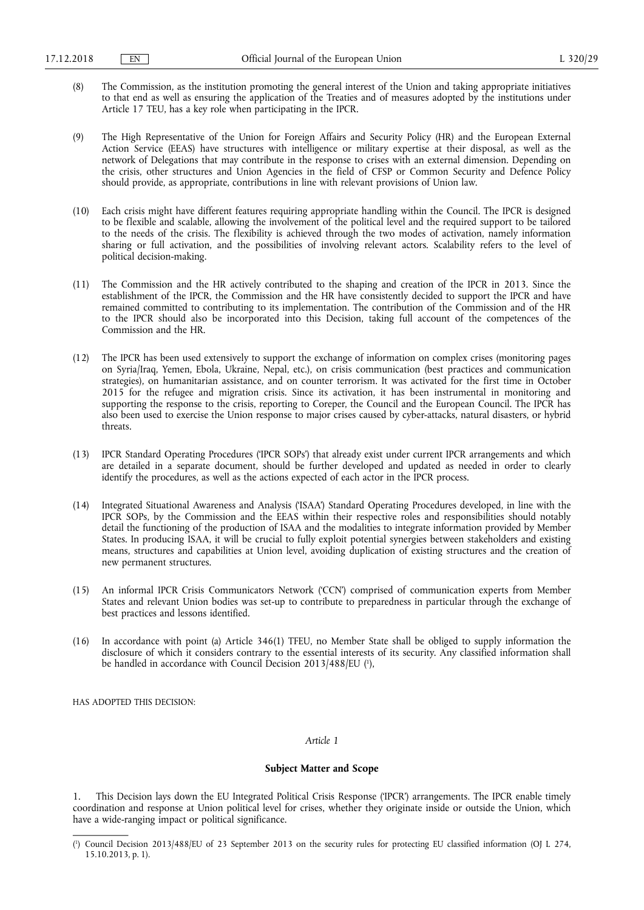- (8) The Commission, as the institution promoting the general interest of the Union and taking appropriate initiatives to that end as well as ensuring the application of the Treaties and of measures adopted by the institutions under Article 17 TEU, has a key role when participating in the IPCR.
- (9) The High Representative of the Union for Foreign Affairs and Security Policy (HR) and the European External Action Service (EEAS) have structures with intelligence or military expertise at their disposal, as well as the network of Delegations that may contribute in the response to crises with an external dimension. Depending on the crisis, other structures and Union Agencies in the field of CFSP or Common Security and Defence Policy should provide, as appropriate, contributions in line with relevant provisions of Union law.
- (10) Each crisis might have different features requiring appropriate handling within the Council. The IPCR is designed to be flexible and scalable, allowing the involvement of the political level and the required support to be tailored to the needs of the crisis. The flexibility is achieved through the two modes of activation, namely information sharing or full activation, and the possibilities of involving relevant actors. Scalability refers to the level of political decision-making.
- (11) The Commission and the HR actively contributed to the shaping and creation of the IPCR in 2013. Since the establishment of the IPCR, the Commission and the HR have consistently decided to support the IPCR and have remained committed to contributing to its implementation. The contribution of the Commission and of the HR to the IPCR should also be incorporated into this Decision, taking full account of the competences of the Commission and the HR.
- (12) The IPCR has been used extensively to support the exchange of information on complex crises (monitoring pages on Syria/Iraq, Yemen, Ebola, Ukraine, Nepal, etc.), on crisis communication (best practices and communication strategies), on humanitarian assistance, and on counter terrorism. It was activated for the first time in October 2015 for the refugee and migration crisis. Since its activation, it has been instrumental in monitoring and supporting the response to the crisis, reporting to Coreper, the Council and the European Council. The IPCR has also been used to exercise the Union response to major crises caused by cyber-attacks, natural disasters, or hybrid threats.
- (13) IPCR Standard Operating Procedures ('IPCR SOPs') that already exist under current IPCR arrangements and which are detailed in a separate document, should be further developed and updated as needed in order to clearly identify the procedures, as well as the actions expected of each actor in the IPCR process.
- (14) Integrated Situational Awareness and Analysis ('ISAA') Standard Operating Procedures developed, in line with the IPCR SOPs, by the Commission and the EEAS within their respective roles and responsibilities should notably detail the functioning of the production of ISAA and the modalities to integrate information provided by Member States. In producing ISAA, it will be crucial to fully exploit potential synergies between stakeholders and existing means, structures and capabilities at Union level, avoiding duplication of existing structures and the creation of new permanent structures.
- (15) An informal IPCR Crisis Communicators Network ('CCN') comprised of communication experts from Member States and relevant Union bodies was set-up to contribute to preparedness in particular through the exchange of best practices and lessons identified.
- (16) In accordance with point (a) Article 346(1) TFEU, no Member State shall be obliged to supply information the disclosure of which it considers contrary to the essential interests of its security. Any classified information shall be handled in accordance with Council Decision 2013/488/EU ( 1 ),

HAS ADOPTED THIS DECISION:

#### *Article 1*

#### **Subject Matter and Scope**

1. This Decision lays down the EU Integrated Political Crisis Response ('IPCR') arrangements. The IPCR enable timely coordination and response at Union political level for crises, whether they originate inside or outside the Union, which have a wide-ranging impact or political significance.

<sup>(</sup> 1 ) Council Decision 2013/488/EU of 23 September 2013 on the security rules for protecting EU classified information (OJ L 274, 15.10.2013, p. 1).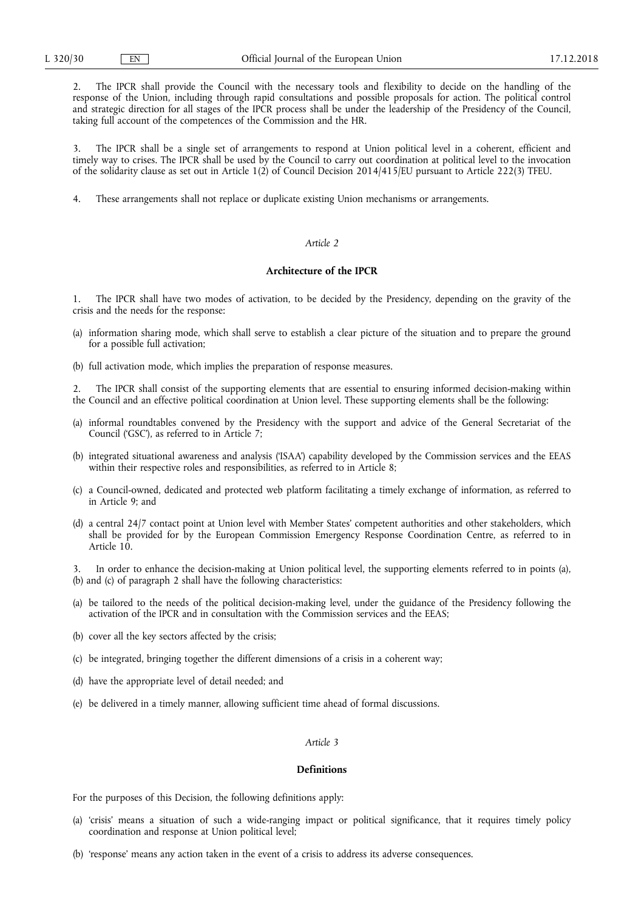2. The IPCR shall provide the Council with the necessary tools and flexibility to decide on the handling of the response of the Union, including through rapid consultations and possible proposals for action. The political control and strategic direction for all stages of the IPCR process shall be under the leadership of the Presidency of the Council, taking full account of the competences of the Commission and the HR.

3. The IPCR shall be a single set of arrangements to respond at Union political level in a coherent, efficient and timely way to crises. The IPCR shall be used by the Council to carry out coordination at political level to the invocation of the solidarity clause as set out in Article 1(2) of Council Decision 2014/415/EU pursuant to Article 222(3) TFEU.

4. These arrangements shall not replace or duplicate existing Union mechanisms or arrangements.

## *Article 2*

## **Architecture of the IPCR**

1. The IPCR shall have two modes of activation, to be decided by the Presidency, depending on the gravity of the crisis and the needs for the response:

- (a) information sharing mode, which shall serve to establish a clear picture of the situation and to prepare the ground for a possible full activation;
- (b) full activation mode, which implies the preparation of response measures.

2. The IPCR shall consist of the supporting elements that are essential to ensuring informed decision-making within the Council and an effective political coordination at Union level. These supporting elements shall be the following:

- (a) informal roundtables convened by the Presidency with the support and advice of the General Secretariat of the Council ('GSC'), as referred to in Article 7;
- (b) integrated situational awareness and analysis ('ISAA') capability developed by the Commission services and the EEAS within their respective roles and responsibilities, as referred to in Article 8;
- (c) a Council-owned, dedicated and protected web platform facilitating a timely exchange of information, as referred to in Article 9; and
- (d) a central 24/7 contact point at Union level with Member States' competent authorities and other stakeholders, which shall be provided for by the European Commission Emergency Response Coordination Centre, as referred to in Article 10.

In order to enhance the decision-making at Union political level, the supporting elements referred to in points (a), (b) and (c) of paragraph 2 shall have the following characteristics:

- (a) be tailored to the needs of the political decision-making level, under the guidance of the Presidency following the activation of the IPCR and in consultation with the Commission services and the EEAS;
- (b) cover all the key sectors affected by the crisis;
- (c) be integrated, bringing together the different dimensions of a crisis in a coherent way;
- (d) have the appropriate level of detail needed; and
- (e) be delivered in a timely manner, allowing sufficient time ahead of formal discussions.

## *Article 3*

#### **Definitions**

For the purposes of this Decision, the following definitions apply:

- (a) 'crisis' means a situation of such a wide-ranging impact or political significance, that it requires timely policy coordination and response at Union political level;
- (b) 'response' means any action taken in the event of a crisis to address its adverse consequences.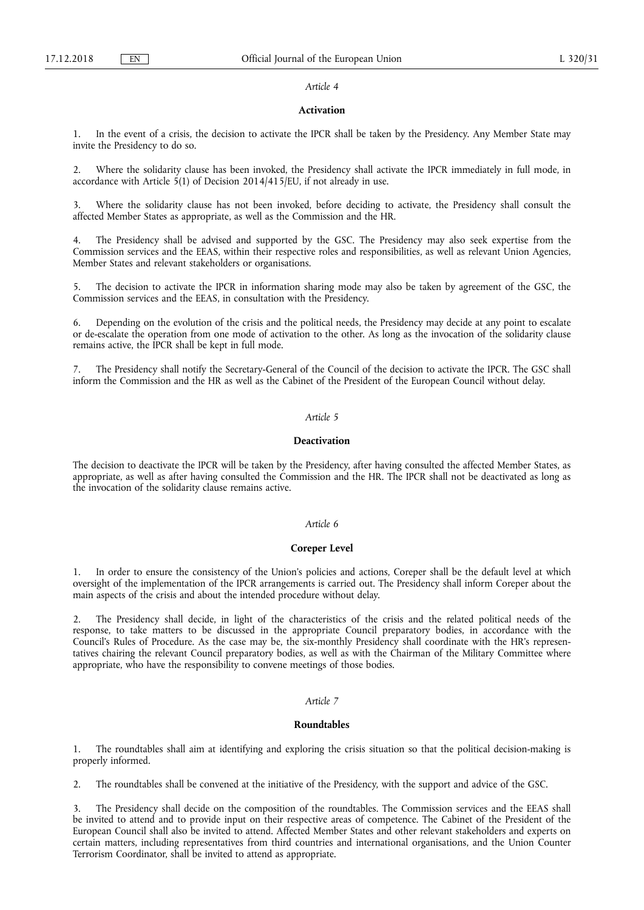#### *Article 4*

#### **Activation**

1. In the event of a crisis, the decision to activate the IPCR shall be taken by the Presidency. Any Member State may invite the Presidency to do so.

2. Where the solidarity clause has been invoked, the Presidency shall activate the IPCR immediately in full mode, in accordance with Article 5(1) of Decision 2014/415/EU, if not already in use.

3. Where the solidarity clause has not been invoked, before deciding to activate, the Presidency shall consult the affected Member States as appropriate, as well as the Commission and the HR.

The Presidency shall be advised and supported by the GSC. The Presidency may also seek expertise from the Commission services and the EEAS, within their respective roles and responsibilities, as well as relevant Union Agencies, Member States and relevant stakeholders or organisations.

The decision to activate the IPCR in information sharing mode may also be taken by agreement of the GSC, the Commission services and the EEAS, in consultation with the Presidency.

6. Depending on the evolution of the crisis and the political needs, the Presidency may decide at any point to escalate or de-escalate the operation from one mode of activation to the other. As long as the invocation of the solidarity clause remains active, the IPCR shall be kept in full mode.

The Presidency shall notify the Secretary-General of the Council of the decision to activate the IPCR. The GSC shall inform the Commission and the HR as well as the Cabinet of the President of the European Council without delay.

## *Article 5*

#### **Deactivation**

The decision to deactivate the IPCR will be taken by the Presidency, after having consulted the affected Member States, as appropriate, as well as after having consulted the Commission and the HR. The IPCR shall not be deactivated as long as the invocation of the solidarity clause remains active.

#### *Article 6*

#### **Coreper Level**

1. In order to ensure the consistency of the Union's policies and actions, Coreper shall be the default level at which oversight of the implementation of the IPCR arrangements is carried out. The Presidency shall inform Coreper about the main aspects of the crisis and about the intended procedure without delay.

2. The Presidency shall decide, in light of the characteristics of the crisis and the related political needs of the response, to take matters to be discussed in the appropriate Council preparatory bodies, in accordance with the Council's Rules of Procedure. As the case may be, the six-monthly Presidency shall coordinate with the HR's representatives chairing the relevant Council preparatory bodies, as well as with the Chairman of the Military Committee where appropriate, who have the responsibility to convene meetings of those bodies.

#### *Article 7*

#### **Roundtables**

1. The roundtables shall aim at identifying and exploring the crisis situation so that the political decision-making is properly informed.

2. The roundtables shall be convened at the initiative of the Presidency, with the support and advice of the GSC.

3. The Presidency shall decide on the composition of the roundtables. The Commission services and the EEAS shall be invited to attend and to provide input on their respective areas of competence. The Cabinet of the President of the European Council shall also be invited to attend. Affected Member States and other relevant stakeholders and experts on certain matters, including representatives from third countries and international organisations, and the Union Counter Terrorism Coordinator, shall be invited to attend as appropriate.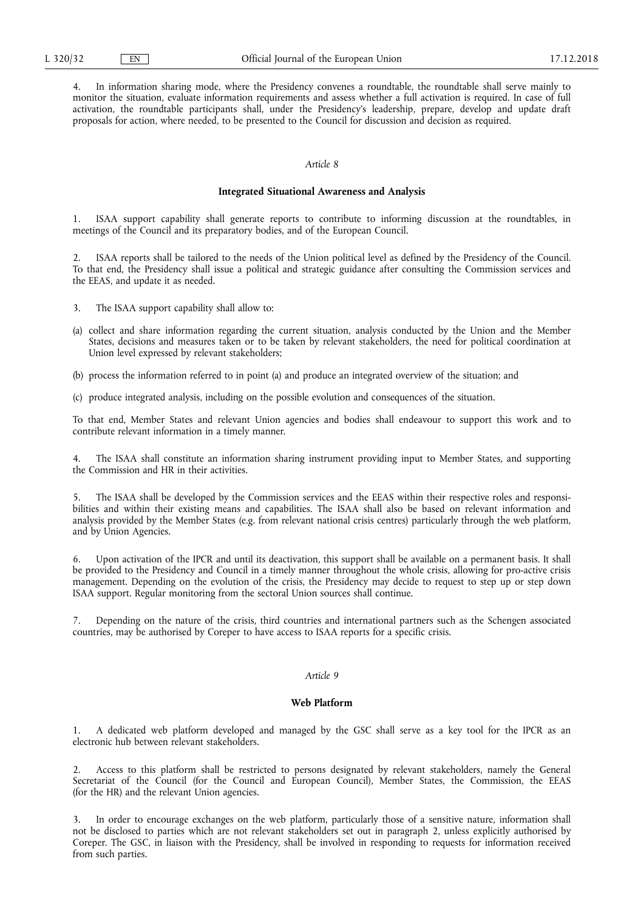4. In information sharing mode, where the Presidency convenes a roundtable, the roundtable shall serve mainly to monitor the situation, evaluate information requirements and assess whether a full activation is required. In case of full activation, the roundtable participants shall, under the Presidency's leadership, prepare, develop and update draft proposals for action, where needed, to be presented to the Council for discussion and decision as required.

#### *Article 8*

#### **Integrated Situational Awareness and Analysis**

1. ISAA support capability shall generate reports to contribute to informing discussion at the roundtables, in meetings of the Council and its preparatory bodies, and of the European Council.

2. ISAA reports shall be tailored to the needs of the Union political level as defined by the Presidency of the Council. To that end, the Presidency shall issue a political and strategic guidance after consulting the Commission services and the EEAS, and update it as needed.

- 3. The ISAA support capability shall allow to:
- (a) collect and share information regarding the current situation, analysis conducted by the Union and the Member States, decisions and measures taken or to be taken by relevant stakeholders, the need for political coordination at Union level expressed by relevant stakeholders;

(b) process the information referred to in point (a) and produce an integrated overview of the situation; and

(c) produce integrated analysis, including on the possible evolution and consequences of the situation.

To that end, Member States and relevant Union agencies and bodies shall endeavour to support this work and to contribute relevant information in a timely manner.

The ISAA shall constitute an information sharing instrument providing input to Member States, and supporting the Commission and HR in their activities.

5. The ISAA shall be developed by the Commission services and the EEAS within their respective roles and responsibilities and within their existing means and capabilities. The ISAA shall also be based on relevant information and analysis provided by the Member States (e.g. from relevant national crisis centres) particularly through the web platform, and by Union Agencies.

6. Upon activation of the IPCR and until its deactivation, this support shall be available on a permanent basis. It shall be provided to the Presidency and Council in a timely manner throughout the whole crisis, allowing for pro-active crisis management. Depending on the evolution of the crisis, the Presidency may decide to request to step up or step down ISAA support. Regular monitoring from the sectoral Union sources shall continue.

7. Depending on the nature of the crisis, third countries and international partners such as the Schengen associated countries, may be authorised by Coreper to have access to ISAA reports for a specific crisis.

#### *Article 9*

#### **Web Platform**

1. A dedicated web platform developed and managed by the GSC shall serve as a key tool for the IPCR as an electronic hub between relevant stakeholders.

2. Access to this platform shall be restricted to persons designated by relevant stakeholders, namely the General Secretariat of the Council (for the Council and European Council), Member States, the Commission, the EEAS (for the HR) and the relevant Union agencies.

3. In order to encourage exchanges on the web platform, particularly those of a sensitive nature, information shall not be disclosed to parties which are not relevant stakeholders set out in paragraph 2, unless explicitly authorised by Coreper. The GSC, in liaison with the Presidency, shall be involved in responding to requests for information received from such parties.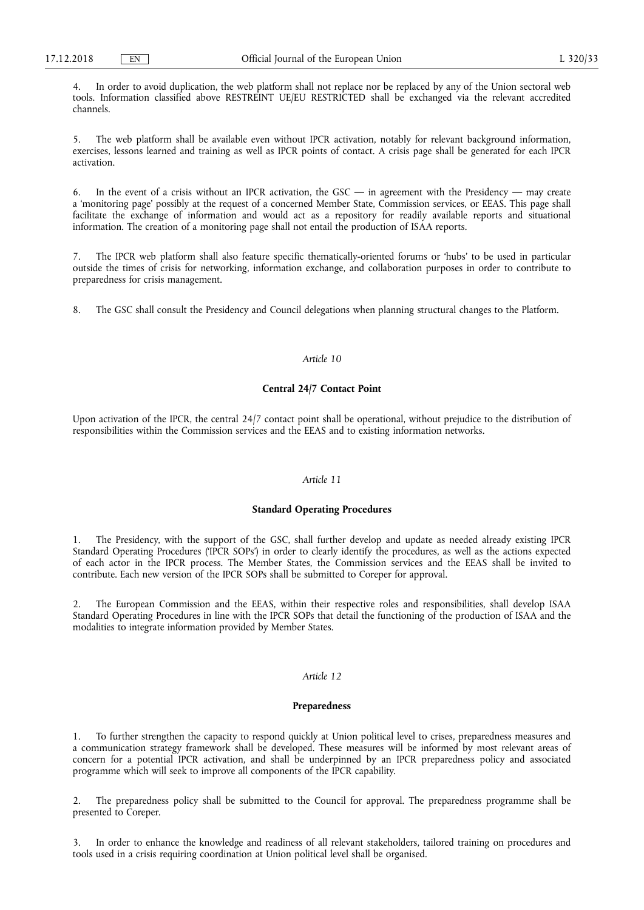4. In order to avoid duplication, the web platform shall not replace nor be replaced by any of the Union sectoral web tools. Information classified above RESTREINT UE/EU RESTRICTED shall be exchanged via the relevant accredited channels.

5. The web platform shall be available even without IPCR activation, notably for relevant background information, exercises, lessons learned and training as well as IPCR points of contact. A crisis page shall be generated for each IPCR activation.

6. In the event of a crisis without an IPCR activation, the GSC — in agreement with the Presidency — may create a 'monitoring page' possibly at the request of a concerned Member State, Commission services, or EEAS. This page shall facilitate the exchange of information and would act as a repository for readily available reports and situational information. The creation of a monitoring page shall not entail the production of ISAA reports.

7. The IPCR web platform shall also feature specific thematically-oriented forums or 'hubs' to be used in particular outside the times of crisis for networking, information exchange, and collaboration purposes in order to contribute to preparedness for crisis management.

8. The GSC shall consult the Presidency and Council delegations when planning structural changes to the Platform.

## *Article 10*

#### **Central 24/7 Contact Point**

Upon activation of the IPCR, the central 24/7 contact point shall be operational, without prejudice to the distribution of responsibilities within the Commission services and the EEAS and to existing information networks.

## *Article 11*

## **Standard Operating Procedures**

1. The Presidency, with the support of the GSC, shall further develop and update as needed already existing IPCR Standard Operating Procedures ('IPCR SOPs') in order to clearly identify the procedures, as well as the actions expected of each actor in the IPCR process. The Member States, the Commission services and the EEAS shall be invited to contribute. Each new version of the IPCR SOPs shall be submitted to Coreper for approval.

2. The European Commission and the EEAS, within their respective roles and responsibilities, shall develop ISAA Standard Operating Procedures in line with the IPCR SOPs that detail the functioning of the production of ISAA and the modalities to integrate information provided by Member States.

### *Article 12*

#### **Preparedness**

1. To further strengthen the capacity to respond quickly at Union political level to crises, preparedness measures and a communication strategy framework shall be developed. These measures will be informed by most relevant areas of concern for a potential IPCR activation, and shall be underpinned by an IPCR preparedness policy and associated programme which will seek to improve all components of the IPCR capability.

2. The preparedness policy shall be submitted to the Council for approval. The preparedness programme shall be presented to Coreper.

In order to enhance the knowledge and readiness of all relevant stakeholders, tailored training on procedures and tools used in a crisis requiring coordination at Union political level shall be organised.